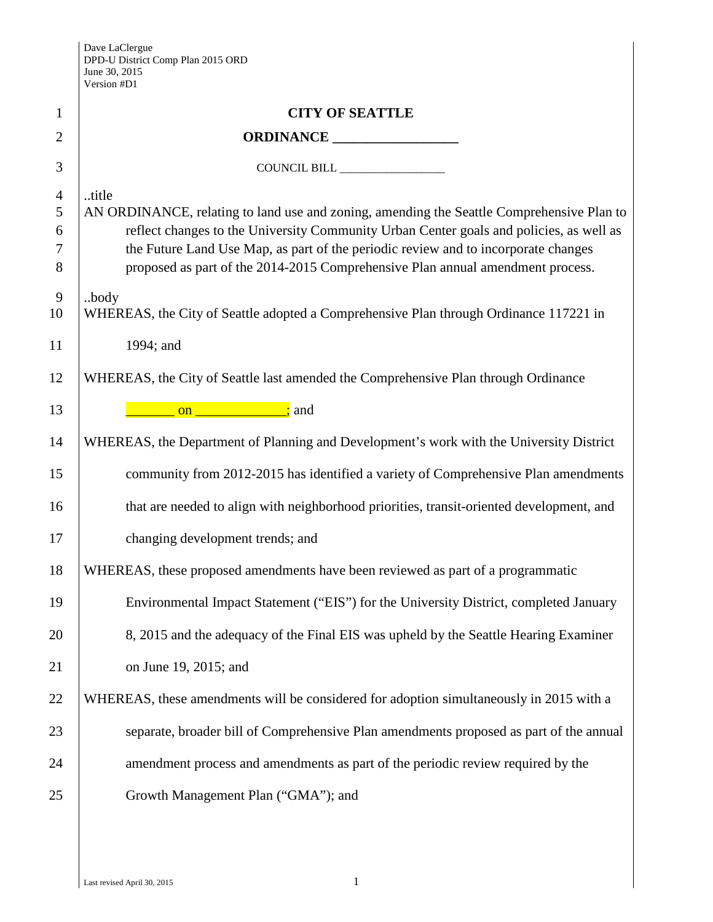| $\mathbf{1}$                       | <b>CITY OF SEATTLE</b>                                                                                                                                                                                                                                                                                                                                                |  |
|------------------------------------|-----------------------------------------------------------------------------------------------------------------------------------------------------------------------------------------------------------------------------------------------------------------------------------------------------------------------------------------------------------------------|--|
| $\overline{2}$                     |                                                                                                                                                                                                                                                                                                                                                                       |  |
| 3                                  |                                                                                                                                                                                                                                                                                                                                                                       |  |
| $\overline{4}$<br>5<br>6<br>7<br>8 | title<br>AN ORDINANCE, relating to land use and zoning, amending the Seattle Comprehensive Plan to<br>reflect changes to the University Community Urban Center goals and policies, as well as<br>the Future Land Use Map, as part of the periodic review and to incorporate changes<br>proposed as part of the 2014-2015 Comprehensive Plan annual amendment process. |  |
| 9<br>10                            | .body<br>WHEREAS, the City of Seattle adopted a Comprehensive Plan through Ordinance 117221 in                                                                                                                                                                                                                                                                        |  |
| 11                                 | 1994; and                                                                                                                                                                                                                                                                                                                                                             |  |
| 12                                 | WHEREAS, the City of Seattle last amended the Comprehensive Plan through Ordinance                                                                                                                                                                                                                                                                                    |  |
| 13                                 | <u>________________________________;</u> and                                                                                                                                                                                                                                                                                                                          |  |
| 14                                 | WHEREAS, the Department of Planning and Development's work with the University District                                                                                                                                                                                                                                                                               |  |
| 15                                 | community from 2012-2015 has identified a variety of Comprehensive Plan amendments                                                                                                                                                                                                                                                                                    |  |
| 16                                 | that are needed to align with neighborhood priorities, transit-oriented development, and                                                                                                                                                                                                                                                                              |  |
| 17                                 | changing development trends; and                                                                                                                                                                                                                                                                                                                                      |  |
| 18                                 | WHEREAS, these proposed amendments have been reviewed as part of a programmatic                                                                                                                                                                                                                                                                                       |  |
| 19                                 | Environmental Impact Statement ("EIS") for the University District, completed January                                                                                                                                                                                                                                                                                 |  |
| 20                                 | 8, 2015 and the adequacy of the Final EIS was upheld by the Seattle Hearing Examiner                                                                                                                                                                                                                                                                                  |  |
| 21                                 | on June 19, 2015; and                                                                                                                                                                                                                                                                                                                                                 |  |
| 22                                 | WHEREAS, these amendments will be considered for adoption simultaneously in 2015 with a                                                                                                                                                                                                                                                                               |  |
| 23                                 | separate, broader bill of Comprehensive Plan amendments proposed as part of the annual                                                                                                                                                                                                                                                                                |  |
| 24                                 | amendment process and amendments as part of the periodic review required by the                                                                                                                                                                                                                                                                                       |  |
| 25                                 | Growth Management Plan ("GMA"); and                                                                                                                                                                                                                                                                                                                                   |  |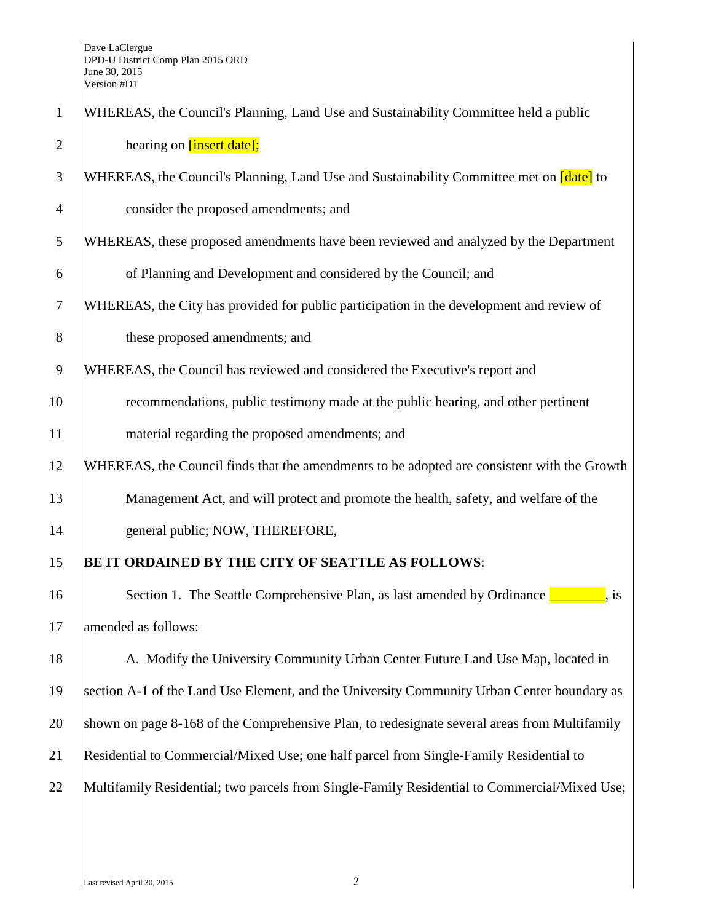| $\mathbf{1}$   | WHEREAS, the Council's Planning, Land Use and Sustainability Committee held a public                                                                                                                                                                                                                                                                              |  |
|----------------|-------------------------------------------------------------------------------------------------------------------------------------------------------------------------------------------------------------------------------------------------------------------------------------------------------------------------------------------------------------------|--|
| $\overline{2}$ | hearing on [insert date];                                                                                                                                                                                                                                                                                                                                         |  |
| 3              | WHEREAS, the Council's Planning, Land Use and Sustainability Committee met on <i>date</i> to                                                                                                                                                                                                                                                                      |  |
| $\overline{4}$ | consider the proposed amendments; and                                                                                                                                                                                                                                                                                                                             |  |
| 5              | WHEREAS, these proposed amendments have been reviewed and analyzed by the Department                                                                                                                                                                                                                                                                              |  |
| 6              | of Planning and Development and considered by the Council; and                                                                                                                                                                                                                                                                                                    |  |
| $\overline{7}$ | WHEREAS, the City has provided for public participation in the development and review of                                                                                                                                                                                                                                                                          |  |
| 8              | these proposed amendments; and                                                                                                                                                                                                                                                                                                                                    |  |
| 9              | WHEREAS, the Council has reviewed and considered the Executive's report and                                                                                                                                                                                                                                                                                       |  |
| 10             | recommendations, public testimony made at the public hearing, and other pertinent                                                                                                                                                                                                                                                                                 |  |
| 11             | material regarding the proposed amendments; and                                                                                                                                                                                                                                                                                                                   |  |
| 12             | WHEREAS, the Council finds that the amendments to be adopted are consistent with the Growth                                                                                                                                                                                                                                                                       |  |
| 13             | Management Act, and will protect and promote the health, safety, and welfare of the                                                                                                                                                                                                                                                                               |  |
| 14             | general public; NOW, THEREFORE,                                                                                                                                                                                                                                                                                                                                   |  |
| 15             | BE IT ORDAINED BY THE CITY OF SEATTLE AS FOLLOWS:                                                                                                                                                                                                                                                                                                                 |  |
| 16             | Section 1. The Seattle Comprehensive Plan, as last amended by Ordinance $\frac{1}{\sqrt{1-\frac{1}{\sqrt{1-\frac{1}{\sqrt{1-\frac{1}{\sqrt{1-\frac{1}{\sqrt{1-\frac{1}{\sqrt{1-\frac{1}{\sqrt{1-\frac{1}{\sqrt{1-\frac{1}{\sqrt{1-\frac{1}{\sqrt{1-\frac{1}{\sqrt{1-\frac{1}{\sqrt{1-\frac{1}{\sqrt{1-\frac{1}{\sqrt{1-\frac{1}{\sqrt{1-\frac{1}{\sqrt{1-\frac{1$ |  |
| 17             | amended as follows:                                                                                                                                                                                                                                                                                                                                               |  |
| 18             | A. Modify the University Community Urban Center Future Land Use Map, located in                                                                                                                                                                                                                                                                                   |  |
| 19             | section A-1 of the Land Use Element, and the University Community Urban Center boundary as                                                                                                                                                                                                                                                                        |  |
| 20             | shown on page 8-168 of the Comprehensive Plan, to redesignate several areas from Multifamily                                                                                                                                                                                                                                                                      |  |
| 21             | Residential to Commercial/Mixed Use; one half parcel from Single-Family Residential to                                                                                                                                                                                                                                                                            |  |
| 22             | Multifamily Residential; two parcels from Single-Family Residential to Commercial/Mixed Use;                                                                                                                                                                                                                                                                      |  |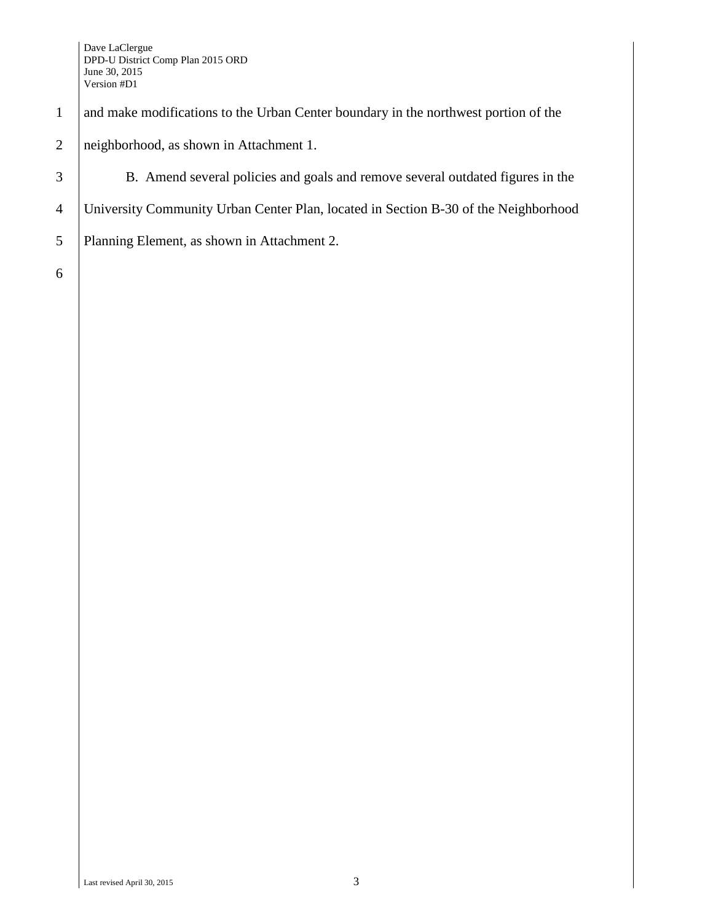## 1 and make modifications to the Urban Center boundary in the northwest portion of the

## 2 | neighborhood, as shown in Attachment 1.

3 B. Amend several policies and goals and remove several outdated figures in the

- 4 University Community Urban Center Plan, located in Section B-30 of the Neighborhood
- 5 Planning Element, as shown in Attachment 2.

6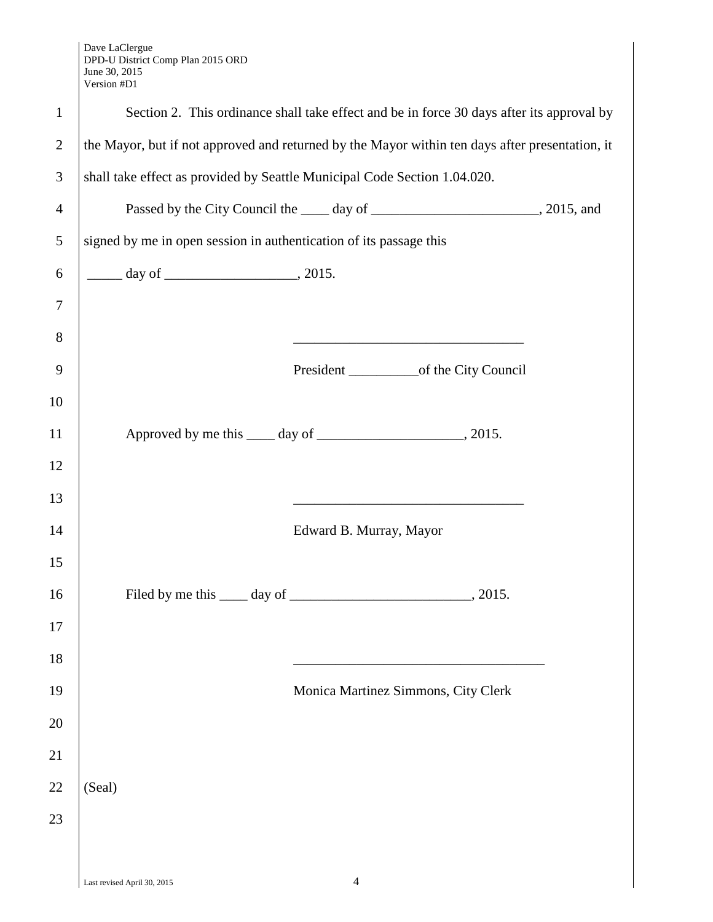Dave LaClergue DPD-U District Comp Plan 2015 ORD June 30, 2015 Version #D1

|                | $\mathbf v$ Cloid $\mathbf u$ D I                                                               |                                                                                           |  |
|----------------|-------------------------------------------------------------------------------------------------|-------------------------------------------------------------------------------------------|--|
| $\mathbf{1}$   | Section 2. This ordinance shall take effect and be in force 30 days after its approval by       |                                                                                           |  |
| $\overline{2}$ | the Mayor, but if not approved and returned by the Mayor within ten days after presentation, it |                                                                                           |  |
| 3              | shall take effect as provided by Seattle Municipal Code Section 1.04.020.                       |                                                                                           |  |
| $\overline{4}$ |                                                                                                 |                                                                                           |  |
| 5              | signed by me in open session in authentication of its passage this                              |                                                                                           |  |
| 6              |                                                                                                 |                                                                                           |  |
| $\overline{7}$ |                                                                                                 |                                                                                           |  |
| 8              |                                                                                                 |                                                                                           |  |
| 9              |                                                                                                 |                                                                                           |  |
| 10             |                                                                                                 |                                                                                           |  |
| 11             |                                                                                                 |                                                                                           |  |
| 12             |                                                                                                 |                                                                                           |  |
| 13             |                                                                                                 | the control of the control of the control of the control of the control of the control of |  |
| 14             |                                                                                                 | Edward B. Murray, Mayor                                                                   |  |
| 15             |                                                                                                 |                                                                                           |  |
| 16             |                                                                                                 |                                                                                           |  |
| 17             |                                                                                                 |                                                                                           |  |
| 18             |                                                                                                 |                                                                                           |  |
| 19             |                                                                                                 | Monica Martinez Simmons, City Clerk                                                       |  |
| 20             |                                                                                                 |                                                                                           |  |
| 21             |                                                                                                 |                                                                                           |  |
| 22             | (Seal)                                                                                          |                                                                                           |  |
| 23             |                                                                                                 |                                                                                           |  |
|                |                                                                                                 |                                                                                           |  |